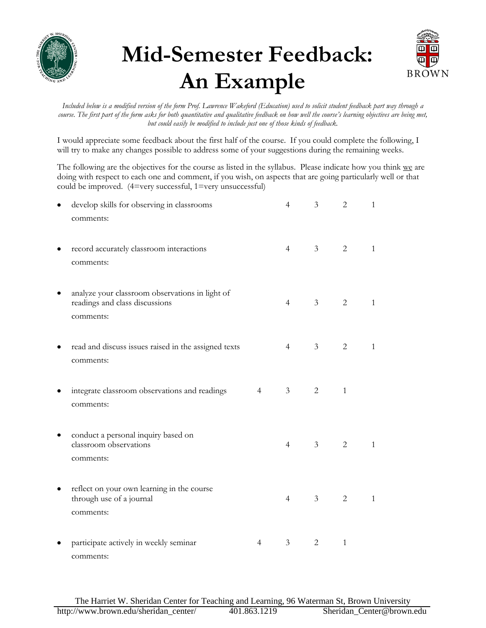

## **Mid-Semester Feedback: An Example**



Included below is a modified version of the form Prof. Lawrence Wakeford (Education) used to solicit student feedback part way through a *course. The first part of the form asks for both quantitative and qualitative feedback on how well the course's learning objectives are being met, but could easily be modified to include just one of those kinds of feedback.* 

I would appreciate some feedback about the first half of the course. If you could complete the following, I will try to make any changes possible to address some of your suggestions during the remaining weeks.

The following are the objectives for the course as listed in the syllabus. Please indicate how you think we are doing with respect to each one and comment, if you wish, on aspects that are going particularly well or that could be improved. (4=very successful, 1=very unsuccessful)

| develop skills for observing in classrooms<br>comments:                                        |                | $\overline{4}$ | $\mathfrak{Z}$ | $\overline{2}$ | $\mathbf{1}$ |
|------------------------------------------------------------------------------------------------|----------------|----------------|----------------|----------------|--------------|
| record accurately classroom interactions<br>comments:                                          |                | $\overline{4}$ | 3 <sup>7</sup> | $\overline{2}$ | $\mathbf{1}$ |
| analyze your classroom observations in light of<br>readings and class discussions<br>comments: |                | $\overline{4}$ | 3 <sup>7</sup> | 2              | $\mathbf{1}$ |
| read and discuss issues raised in the assigned texts<br>comments:                              |                | $\overline{4}$ | 3 <sup>7</sup> | $\overline{2}$ | $\mathbf{1}$ |
| integrate classroom observations and readings<br>comments:                                     | $\overline{4}$ | $\mathfrak{Z}$ | 2              | $\mathbf{1}$   |              |
| conduct a personal inquiry based on<br>classroom observations<br>comments:                     |                | $\overline{4}$ | 3 <sup>7</sup> | 2              | $\mathbf{1}$ |
| reflect on your own learning in the course<br>through use of a journal<br>comments:            |                | $\overline{4}$ | 3 <sup>7</sup> | $\overline{2}$ | $\mathbf{1}$ |
| participate actively in weekly seminar<br>comments:                                            | $\overline{4}$ | 3              | 2              | $\mathbf{1}$   |              |